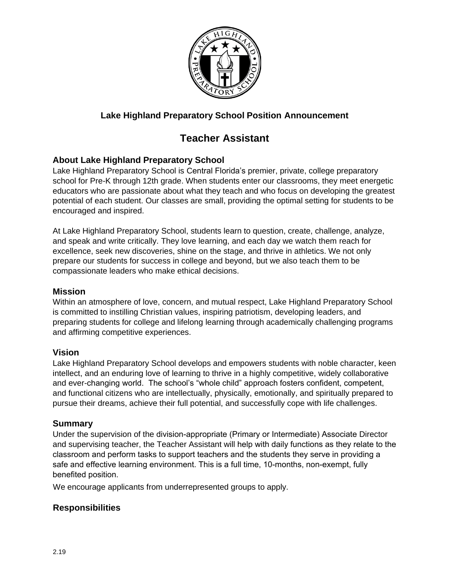

# **Lake Highland Preparatory School Position Announcement**

# **Teacher Assistant**

# **About Lake Highland Preparatory School**

Lake Highland Preparatory School is Central Florida's premier, private, college preparatory school for Pre-K through 12th grade. When students enter our classrooms, they meet energetic educators who are passionate about what they teach and who focus on developing the greatest potential of each student. Our classes are small, providing the optimal setting for students to be encouraged and inspired.

At Lake Highland Preparatory School, students learn to question, create, challenge, analyze, and speak and write critically. They love learning, and each day we watch them reach for excellence, seek new discoveries, shine on the stage, and thrive in athletics. We not only prepare our students for success in college and beyond, but we also teach them to be compassionate leaders who make ethical decisions.

#### **Mission**

Within an atmosphere of love, concern, and mutual respect, Lake Highland Preparatory School is committed to instilling Christian values, inspiring patriotism, developing leaders, and preparing students for college and lifelong learning through academically challenging programs and affirming competitive experiences.

#### **Vision**

Lake Highland Preparatory School develops and empowers students with noble character, keen intellect, and an enduring love of learning to thrive in a highly competitive, widely collaborative and ever-changing world. The school's "whole child" approach fosters confident, competent, and functional citizens who are intellectually, physically, emotionally, and spiritually prepared to pursue their dreams, achieve their full potential, and successfully cope with life challenges.

#### **Summary**

Under the supervision of the division-appropriate (Primary or Intermediate) Associate Director and supervising teacher, the Teacher Assistant will help with daily functions as they relate to the classroom and perform tasks to support teachers and the students they serve in providing a safe and effective learning environment. This is a full time, 10-months, non-exempt, fully benefited position.

We encourage applicants from underrepresented groups to apply.

## **Responsibilities**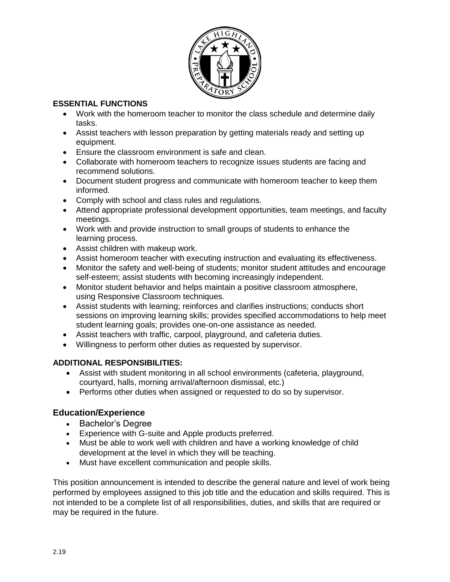

#### **ESSENTIAL FUNCTIONS**

- Work with the homeroom teacher to monitor the class schedule and determine daily tasks.
- Assist teachers with lesson preparation by getting materials ready and setting up equipment.
- Ensure the classroom environment is safe and clean.
- Collaborate with homeroom teachers to recognize issues students are facing and recommend solutions.
- Document student progress and communicate with homeroom teacher to keep them informed.
- Comply with school and class rules and regulations.
- Attend appropriate professional development opportunities, team meetings, and faculty meetings.
- Work with and provide instruction to small groups of students to enhance the learning process.
- Assist children with makeup work.
- Assist homeroom teacher with executing instruction and evaluating its effectiveness.
- Monitor the safety and well-being of students; monitor student attitudes and encourage self-esteem; assist students with becoming increasingly independent.
- Monitor student behavior and helps maintain a positive classroom atmosphere, using Responsive Classroom techniques.
- Assist students with learning; reinforces and clarifies instructions; conducts short sessions on improving learning skills; provides specified accommodations to help meet student learning goals; provides one-on-one assistance as needed.
- Assist teachers with traffic, carpool, playground, and cafeteria duties.
- Willingness to perform other duties as requested by supervisor.

## **ADDITIONAL RESPONSIBILITIES:**

- Assist with student monitoring in all school environments (cafeteria, playground, courtyard, halls, morning arrival/afternoon dismissal, etc.)
- Performs other duties when assigned or requested to do so by supervisor.

## **Education/Experience**

- Bachelor's Degree
- Experience with G-suite and Apple products preferred.
- Must be able to work well with children and have a working knowledge of child development at the level in which they will be teaching.
- Must have excellent communication and people skills.

This position announcement is intended to describe the general nature and level of work being performed by employees assigned to this job title and the education and skills required. This is not intended to be a complete list of all responsibilities, duties, and skills that are required or may be required in the future.